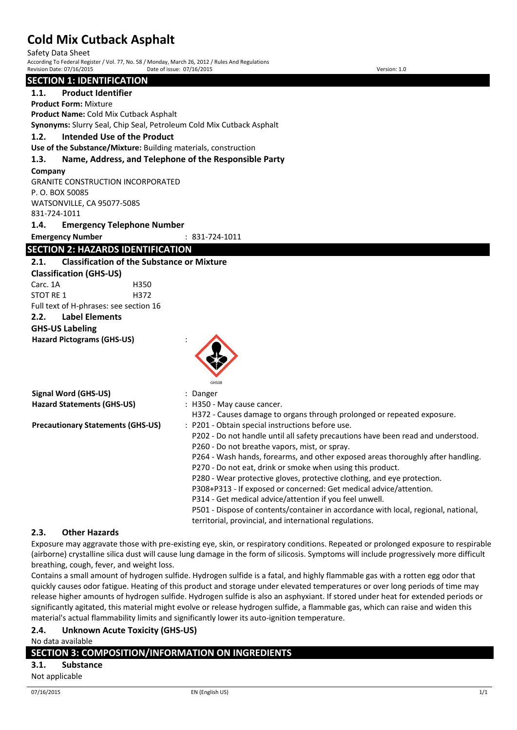Safety Data Sheet

According To Federal Register / Vol. 77, No. 58 / Monday, March 26, 2012 / Rules And Regulations Revision Date: 07/16/2015 Date of issue: 07/16/2015

| <b>SECTION 1: IDENTIFICATION</b>                                                                                                                                                                                                                                                      |                                                                                                                                                                                                                                                                                                                                                                                                                                                                                                                                                                                                                                          |
|---------------------------------------------------------------------------------------------------------------------------------------------------------------------------------------------------------------------------------------------------------------------------------------|------------------------------------------------------------------------------------------------------------------------------------------------------------------------------------------------------------------------------------------------------------------------------------------------------------------------------------------------------------------------------------------------------------------------------------------------------------------------------------------------------------------------------------------------------------------------------------------------------------------------------------------|
| 1.1.<br><b>Product Identifier</b>                                                                                                                                                                                                                                                     |                                                                                                                                                                                                                                                                                                                                                                                                                                                                                                                                                                                                                                          |
| <b>Product Form: Mixture</b>                                                                                                                                                                                                                                                          |                                                                                                                                                                                                                                                                                                                                                                                                                                                                                                                                                                                                                                          |
| Product Name: Cold Mix Cutback Asphalt                                                                                                                                                                                                                                                |                                                                                                                                                                                                                                                                                                                                                                                                                                                                                                                                                                                                                                          |
| Synonyms: Slurry Seal, Chip Seal, Petroleum Cold Mix Cutback Asphalt                                                                                                                                                                                                                  |                                                                                                                                                                                                                                                                                                                                                                                                                                                                                                                                                                                                                                          |
| 1.2.<br><b>Intended Use of the Product</b>                                                                                                                                                                                                                                            |                                                                                                                                                                                                                                                                                                                                                                                                                                                                                                                                                                                                                                          |
| Use of the Substance/Mixture: Building materials, construction                                                                                                                                                                                                                        |                                                                                                                                                                                                                                                                                                                                                                                                                                                                                                                                                                                                                                          |
| 1.3.                                                                                                                                                                                                                                                                                  | Name, Address, and Telephone of the Responsible Party                                                                                                                                                                                                                                                                                                                                                                                                                                                                                                                                                                                    |
| Company<br><b>GRANITE CONSTRUCTION INCORPORATED</b><br>P.O. BOX 50085<br>WATSONVILLE, CA 95077-5085<br>831-724-1011                                                                                                                                                                   |                                                                                                                                                                                                                                                                                                                                                                                                                                                                                                                                                                                                                                          |
| 1.4.<br><b>Emergency Telephone Number</b>                                                                                                                                                                                                                                             |                                                                                                                                                                                                                                                                                                                                                                                                                                                                                                                                                                                                                                          |
| <b>Emergency Number</b>                                                                                                                                                                                                                                                               | $: 831 - 724 - 1011$                                                                                                                                                                                                                                                                                                                                                                                                                                                                                                                                                                                                                     |
| <b>SECTION 2: HAZARDS IDENTIFICATION</b>                                                                                                                                                                                                                                              |                                                                                                                                                                                                                                                                                                                                                                                                                                                                                                                                                                                                                                          |
| <b>Classification of the Substance or Mixture</b><br>2.1.<br><b>Classification (GHS-US)</b><br>Carc. 1A<br>H350<br><b>STOT RE 1</b><br>H372<br>Full text of H-phrases: see section 16<br>2.2.<br><b>Label Elements</b><br><b>GHS-US Labeling</b><br><b>Hazard Pictograms (GHS-US)</b> | GHS08                                                                                                                                                                                                                                                                                                                                                                                                                                                                                                                                                                                                                                    |
| <b>Signal Word (GHS-US)</b>                                                                                                                                                                                                                                                           | : Danger                                                                                                                                                                                                                                                                                                                                                                                                                                                                                                                                                                                                                                 |
| <b>Hazard Statements (GHS-US)</b>                                                                                                                                                                                                                                                     | : H350 - May cause cancer.                                                                                                                                                                                                                                                                                                                                                                                                                                                                                                                                                                                                               |
|                                                                                                                                                                                                                                                                                       | H372 - Causes damage to organs through prolonged or repeated exposure.                                                                                                                                                                                                                                                                                                                                                                                                                                                                                                                                                                   |
| <b>Precautionary Statements (GHS-US)</b>                                                                                                                                                                                                                                              | : P201 - Obtain special instructions before use.<br>P202 - Do not handle until all safety precautions have been read and understood.<br>P260 - Do not breathe vapors, mist, or spray.<br>P264 - Wash hands, forearms, and other exposed areas thoroughly after handling.<br>P270 - Do not eat, drink or smoke when using this product.<br>P280 - Wear protective gloves, protective clothing, and eye protection.<br>P308+P313 - If exposed or concerned: Get medical advice/attention.<br>P314 - Get medical advice/attention if you feel unwell.<br>P501 - Dispose of contents/container in accordance with local, regional, national, |

## **2.3. Other Hazards**

Exposure may aggravate those with pre-existing eye, skin, or respiratory conditions. Repeated or prolonged exposure to respirable (airborne) crystalline silica dust will cause lung damage in the form of silicosis. Symptoms will include progressively more difficult breathing, cough, fever, and weight loss.

territorial, provincial, and international regulations.

Contains a small amount of hydrogen sulfide. Hydrogen sulfide is a fatal, and highly flammable gas with a rotten egg odor that quickly causes odor fatigue. Heating of this product and storage under elevated temperatures or over long periods of time may release higher amounts of hydrogen sulfide. Hydrogen sulfide is also an asphyxiant. If stored under heat for extended periods or significantly agitated, this material might evolve or release hydrogen sulfide, a flammable gas, which can raise and widen this material's actual flammability limits and significantly lower its auto-ignition temperature.

## **2.4. Unknown Acute Toxicity (GHS-US)**

No data available

## **SECTION 3: COMPOSITION/INFORMATION ON INGREDIENTS**

**3.1. Substance**

## Not applicable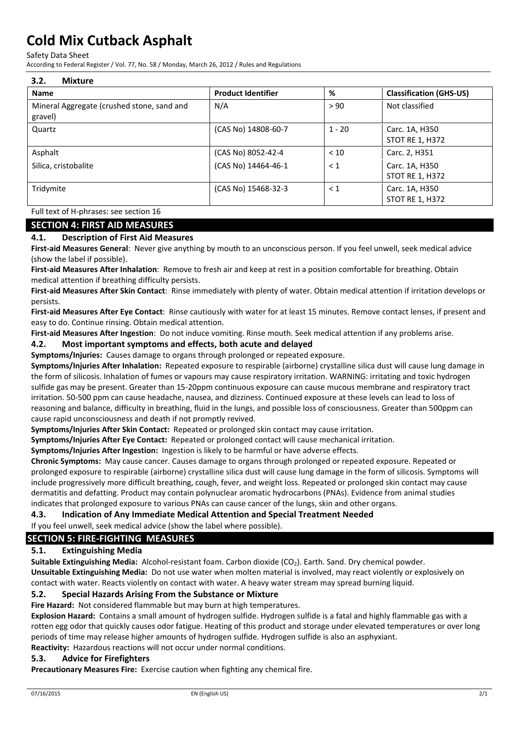Safety Data Sheet

According to Federal Register / Vol. 77, No. 58 / Monday, March 26, 2012 / Rules and Regulations

| 3.2.<br><b>Mixture</b>                                |                           |          |                                          |
|-------------------------------------------------------|---------------------------|----------|------------------------------------------|
| <b>Name</b>                                           | <b>Product Identifier</b> | %        | <b>Classification (GHS-US)</b>           |
| Mineral Aggregate (crushed stone, sand and<br>gravel) | N/A                       | > 90     | Not classified                           |
| Quartz                                                | (CAS No) 14808-60-7       | $1 - 20$ | Carc. 1A, H350<br><b>STOT RE 1, H372</b> |
| Asphalt                                               | (CAS No) 8052-42-4        | < 10     | Carc. 2, H351                            |
| Silica, cristobalite                                  | (CAS No) 14464-46-1       | $\leq 1$ | Carc. 1A, H350<br><b>STOT RE 1, H372</b> |
| Tridymite                                             | (CAS No) 15468-32-3       | $\leq 1$ | Carc. 1A, H350<br><b>STOT RE 1, H372</b> |

Full text of H-phrases: see section 16

## **SECTION 4: FIRST AID MEASURES**

## **4.1. Description of First Aid Measures**

**First-aid Measures General**: Never give anything by mouth to an unconscious person. If you feel unwell, seek medical advice (show the label if possible).

**First-aid Measures After Inhalation**: Remove to fresh air and keep at rest in a position comfortable for breathing. Obtain medical attention if breathing difficulty persists.

**First-aid Measures After Skin Contact**: Rinse immediately with plenty of water. Obtain medical attention if irritation develops or persists.

**First-aid Measures After Eye Contact**: Rinse cautiously with water for at least 15 minutes. Remove contact lenses, if present and easy to do. Continue rinsing. Obtain medical attention.

**First-aid Measures After Ingestion**: Do not induce vomiting. Rinse mouth. Seek medical attention if any problems arise.

## **4.2. Most important symptoms and effects, both acute and delayed**

**Symptoms/Injuries:** Causes damage to organs through prolonged or repeated exposure.

**Symptoms/Injuries After Inhalation:** Repeated exposure to respirable (airborne) crystalline silica dust will cause lung damage in the form of silicosis. Inhalation of fumes or vapours may cause respiratory irritation. WARNING: irritating and toxic hydrogen sulfide gas may be present. Greater than 15-20ppm continuous exposure can cause mucous membrane and respiratory tract irritation. 50-500 ppm can cause headache, nausea, and dizziness. Continued exposure at these levels can lead to loss of reasoning and balance, difficulty in breathing, fluid in the lungs, and possible loss of consciousness. Greater than 500ppm can cause rapid unconsciousness and death if not promptly revived.

**Symptoms/Injuries After Skin Contact:** Repeated or prolonged skin contact may cause irritation.

**Symptoms/Injuries After Eye Contact:** Repeated or prolonged contact will cause mechanical irritation.

**Symptoms/Injuries After Ingestion:** Ingestion is likely to be harmful or have adverse effects.

**Chronic Symptoms:** May cause cancer. Causes damage to organs through prolonged or repeated exposure. Repeated or prolonged exposure to respirable (airborne) crystalline silica dust will cause lung damage in the form of silicosis. Symptoms will include progressively more difficult breathing, cough, fever, and weight loss. Repeated or prolonged skin contact may cause dermatitis and defatting. Product may contain polynuclear aromatic hydrocarbons (PNAs). Evidence from animal studies indicates that prolonged exposure to various PNAs can cause cancer of the lungs, skin and other organs.

#### **4.3. Indication of Any Immediate Medical Attention and Special Treatment Needed**

If you feel unwell, seek medical advice (show the label where possible).

## **SECTION 5: FIRE-FIGHTING MEASURES**

## **5.1. Extinguishing Media**

**Suitable Extinguishing Media:** Alcohol-resistant foam. Carbon dioxide (CO<sub>2</sub>). Earth. Sand. Dry chemical powder. **Unsuitable Extinguishing Media:** Do not use water when molten material is involved, may react violently or explosively on contact with water. Reacts violently on contact with water. A heavy water stream may spread burning liquid.

## **5.2. Special Hazards Arising From the Substance or Mixture**

**Fire Hazard:** Not considered flammable but may burn at high temperatures.

**Explosion Hazard:** Contains a small amount of hydrogen sulfide. Hydrogen sulfide is a fatal and highly flammable gas with a rotten egg odor that quickly causes odor fatigue. Heating of this product and storage under elevated temperatures or over long periods of time may release higher amounts of hydrogen sulfide. Hydrogen sulfide is also an asphyxiant. **Reactivity:** Hazardous reactions will not occur under normal conditions.

## **5.3. Advice for Firefighters**

**Precautionary Measures Fire:** Exercise caution when fighting any chemical fire.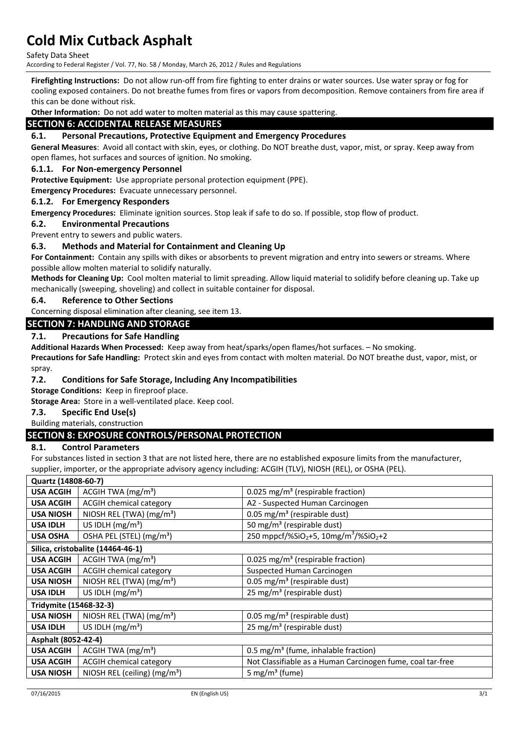Safety Data Sheet

According to Federal Register / Vol. 77, No. 58 / Monday, March 26, 2012 / Rules and Regulations

**Firefighting Instructions:** Do not allow run-off from fire fighting to enter drains or water sources. Use water spray or fog for cooling exposed containers. Do not breathe fumes from fires or vapors from decomposition. Remove containers from fire area if this can be done without risk.

**Other Information:** Do not add water to molten material as this may cause spattering.

## **SECTION 6: ACCIDENTAL RELEASE MEASURES**

#### **6.1. Personal Precautions, Protective Equipment and Emergency Procedures**

**General Measures**: Avoid all contact with skin, eyes, or clothing. Do NOT breathe dust, vapor, mist, or spray. Keep away from open flames, hot surfaces and sources of ignition. No smoking.

#### **6.1.1. For Non-emergency Personnel**

**Protective Equipment:** Use appropriate personal protection equipment (PPE).

**Emergency Procedures:** Evacuate unnecessary personnel.

#### **6.1.2. For Emergency Responders**

**Emergency Procedures:** Eliminate ignition sources. Stop leak if safe to do so. If possible, stop flow of product.

#### **6.2. Environmental Precautions**

Prevent entry to sewers and public waters.

## **6.3. Methods and Material for Containment and Cleaning Up**

**For Containment:** Contain any spills with dikes or absorbents to prevent migration and entry into sewers or streams. Where possible allow molten material to solidify naturally.

**Methods for Cleaning Up:** Cool molten material to limit spreading. Allow liquid material to solidify before cleaning up. Take up mechanically (sweeping, shoveling) and collect in suitable container for disposal.

#### **6.4. Reference to Other Sections**

Concerning disposal elimination after cleaning, see item 13.

## **SECTION 7: HANDLING AND STORAGE**

## **7.1. Precautions for Safe Handling**

**Additional Hazards When Processed:** Keep away from heat/sparks/open flames/hot surfaces. – No smoking.

**Precautions for Safe Handling:** Protect skin and eyes from contact with molten material. Do NOT breathe dust, vapor, mist, or spray.

#### **7.2. Conditions for Safe Storage, Including Any Incompatibilities**

**Storage Conditions:** Keep in fireproof place.

**Storage Area:** Store in a well-ventilated place. Keep cool.

## **7.3. Specific End Use(s)**

#### Building materials, construction

## **SECTION 8: EXPOSURE CONTROLS/PERSONAL PROTECTION**

#### **8.1. Control Parameters**

For substances listed in section 3 that are not listed here, there are no established exposure limits from the manufacturer, supplier, importer, or the appropriate advisory agency including: ACGIH (TLV), NIOSH (REL), or OSHA (PEL).

| Quartz (14808-60-7)    |                                      |                                                                           |
|------------------------|--------------------------------------|---------------------------------------------------------------------------|
| <b>USA ACGIH</b>       | ACGIH TWA $(mg/m3)$                  | 0.025 mg/m <sup>3</sup> (respirable fraction)                             |
| <b>USA ACGIH</b>       | <b>ACGIH chemical category</b>       | A2 - Suspected Human Carcinogen                                           |
| <b>USA NIOSH</b>       | NIOSH REL (TWA) (mg/m <sup>3</sup> ) | 0.05 mg/m <sup>3</sup> (respirable dust)                                  |
| <b>USA IDLH</b>        | US IDLH $(mg/m3)$                    | 50 mg/m <sup>3</sup> (respirable dust)                                    |
| <b>USA OSHA</b>        | OSHA PEL (STEL) (mg/m <sup>3</sup> ) | 250 mppcf/%SiO <sub>2</sub> +5, 10mg/m <sup>3</sup> /%SiO <sub>2</sub> +2 |
|                        | Silica, cristobalite (14464-46-1)    |                                                                           |
| <b>USA ACGIH</b>       | ACGIH TWA $(mg/m3)$                  | 0.025 mg/m <sup>3</sup> (respirable fraction)                             |
| <b>USA ACGIH</b>       | <b>ACGIH chemical category</b>       | Suspected Human Carcinogen                                                |
| <b>USA NIOSH</b>       | NIOSH REL (TWA) (mg/m <sup>3</sup> ) | 0.05 mg/m <sup>3</sup> (respirable dust)                                  |
| <b>USA IDLH</b>        | US IDLH $(mg/m3)$                    | 25 mg/m <sup>3</sup> (respirable dust)                                    |
| Tridymite (15468-32-3) |                                      |                                                                           |
| <b>USA NIOSH</b>       | NIOSH REL (TWA) (mg/m <sup>3</sup> ) | 0.05 mg/m <sup>3</sup> (respirable dust)                                  |
| <b>USA IDLH</b>        | US IDLH $(mg/m3)$                    | 25 mg/m <sup>3</sup> (respirable dust)                                    |
| Asphalt (8052-42-4)    |                                      |                                                                           |
| <b>USA ACGIH</b>       | ACGIH TWA (mg/m <sup>3</sup> )       | 0.5 mg/m <sup>3</sup> (fume, inhalable fraction)                          |
| <b>USA ACGIH</b>       | <b>ACGIH chemical category</b>       | Not Classifiable as a Human Carcinogen fume, coal tar-free                |
| <b>USA NIOSH</b>       | NIOSH REL (ceiling) $(mg/m3)$        | 5 mg/m <sup>3</sup> (fume)                                                |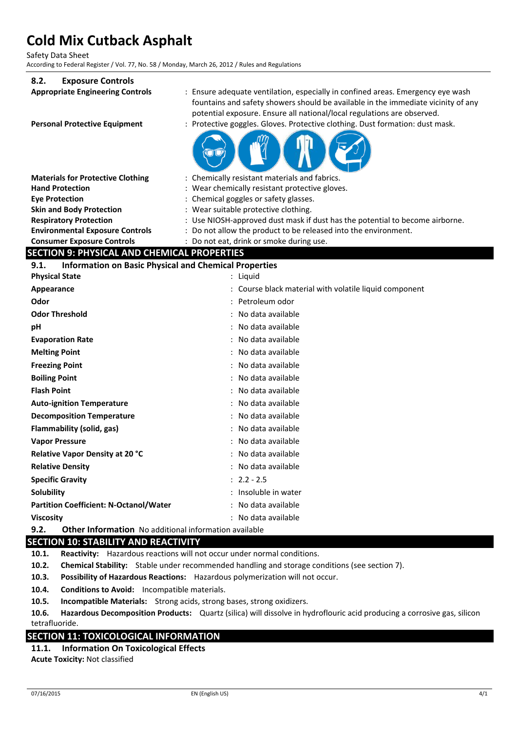Safety Data Sheet

According to Federal Register / Vol. 77, No. 58 / Monday, March 26, 2012 / Rules and Regulations

## **8.2. Exposure Controls**

| EXPOSULE COLLUQUE                                                    |                                                                                                                                                                                                                                                 |
|----------------------------------------------------------------------|-------------------------------------------------------------------------------------------------------------------------------------------------------------------------------------------------------------------------------------------------|
| <b>Appropriate Engineering Controls</b>                              | : Ensure adequate ventilation, especially in confined areas. Emergency eye wash<br>fountains and safety showers should be available in the immediate vicinity of any<br>potential exposure. Ensure all national/local regulations are observed. |
| <b>Personal Protective Equipment</b>                                 | : Protective goggles. Gloves. Protective clothing. Dust formation: dust mask.                                                                                                                                                                   |
|                                                                      |                                                                                                                                                                                                                                                 |
| <b>Materials for Protective Clothing</b>                             | : Chemically resistant materials and fabrics.                                                                                                                                                                                                   |
| <b>Hand Protection</b>                                               | : Wear chemically resistant protective gloves.                                                                                                                                                                                                  |
| <b>Eve Protection</b>                                                | : Chemical goggles or safety glasses.                                                                                                                                                                                                           |
| <b>Skin and Body Protection</b>                                      | : Wear suitable protective clothing.                                                                                                                                                                                                            |
| <b>Respiratory Protection</b>                                        | Use NIOSH-approved dust mask if dust has the potential to become airborne.                                                                                                                                                                      |
| <b>Environmental Exposure Controls</b>                               | : Do not allow the product to be released into the environment.                                                                                                                                                                                 |
| <b>Consumer Exposure Controls</b>                                    | : Do not eat, drink or smoke during use.                                                                                                                                                                                                        |
| <b>SECTION 9: PHYSICAL AND CHEMICAL PROPERTIES</b>                   |                                                                                                                                                                                                                                                 |
| <b>Information on Basic Physical and Chemical Properties</b><br>9.1. |                                                                                                                                                                                                                                                 |
| <b>Physical State</b>                                                | : Liquid                                                                                                                                                                                                                                        |
| Appearance                                                           | : Course black material with volatile liquid component                                                                                                                                                                                          |
| Odor                                                                 | Petroleum odor                                                                                                                                                                                                                                  |
| <b>Odor Threshold</b>                                                | : No data available                                                                                                                                                                                                                             |
| рH                                                                   | : No data available                                                                                                                                                                                                                             |
| <b>Evaporation Rate</b>                                              | : No data available                                                                                                                                                                                                                             |
| <b>Melting Point</b>                                                 | No data available                                                                                                                                                                                                                               |
| <b>Freezing Point</b>                                                | No data available                                                                                                                                                                                                                               |
| <b>Boiling Point</b>                                                 | No data available                                                                                                                                                                                                                               |
| <b>Flash Point</b>                                                   | : No data available                                                                                                                                                                                                                             |
| <b>Auto-ignition Temperature</b>                                     | : No data available                                                                                                                                                                                                                             |
| <b>Decomposition Temperature</b>                                     | No data available                                                                                                                                                                                                                               |
| Flammability (solid, gas)                                            | No data available                                                                                                                                                                                                                               |
| <b>Vapor Pressure</b>                                                | No data available                                                                                                                                                                                                                               |
| Relative Vapor Density at 20 °C                                      | : No data available                                                                                                                                                                                                                             |
| <b>Relative Density</b>                                              | : No data available                                                                                                                                                                                                                             |
| <b>Specific Gravity</b>                                              | $: 2.2 - 2.5$                                                                                                                                                                                                                                   |
| Solubility                                                           | : Insoluble in water                                                                                                                                                                                                                            |
| <b>Partition Coefficient: N-Octanol/Water</b>                        | : No data available                                                                                                                                                                                                                             |
| <b>Viscosity</b>                                                     | : No data available                                                                                                                                                                                                                             |
| 9.2.<br><b>Other Information</b> No additional information available |                                                                                                                                                                                                                                                 |

## **SECTION 10: STABILITY AND REACTIVITY**

**10.1. Reactivity:** Hazardous reactions will not occur under normal conditions.

**10.2. Chemical Stability:** Stable under recommended handling and storage conditions (see section 7).

**10.3. Possibility of Hazardous Reactions:** Hazardous polymerization will not occur.

**10.4. Conditions to Avoid:** Incompatible materials.

**10.5. Incompatible Materials:** Strong acids, strong bases, strong oxidizers.

**10.6. Hazardous Decomposition Products:** Quartz (silica) will dissolve in hydroflouric acid producing a corrosive gas, silicon tetrafluoride.

## **SECTION 11: TOXICOLOGICAL INFORMATION**

**11.1. Information On Toxicological Effects Acute Toxicity:** Not classified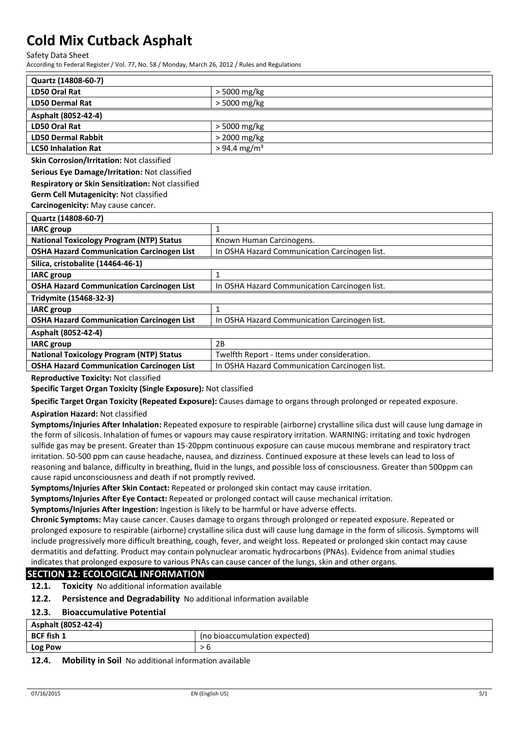Safety Data Sheet

According to Federal Register / Vol. 77, No. 58 / Monday, March 26, 2012 / Rules and Regulations

| Quartz (14808-60-7)        |                            |
|----------------------------|----------------------------|
| LD50 Oral Rat              | > 5000 mg/kg               |
| <b>LD50 Dermal Rat</b>     | > 5000 mg/kg               |
| Asphalt (8052-42-4)        |                            |
| LD50 Oral Rat              | $>$ 5000 mg/kg             |
| <b>LD50 Dermal Rabbit</b>  | > 2000 mg/kg               |
| <b>LC50 Inhalation Rat</b> | $> 94.4$ mg/m <sup>3</sup> |

**Skin Corrosion/Irritation:** Not classified

**Serious Eye Damage/Irritation:** Not classified

#### **Respiratory or Skin Sensitization:** Not classified

**Germ Cell Mutagenicity:** Not classified

**Carcinogenicity:** May cause cancer.

| Quartz (14808-60-7)                              |                                               |
|--------------------------------------------------|-----------------------------------------------|
| <b>IARC</b> group                                |                                               |
| <b>National Toxicology Program (NTP) Status</b>  | Known Human Carcinogens.                      |
| <b>OSHA Hazard Communication Carcinogen List</b> | In OSHA Hazard Communication Carcinogen list. |
| Silica, cristobalite (14464-46-1)                |                                               |
| <b>IARC</b> group                                |                                               |
| <b>OSHA Hazard Communication Carcinogen List</b> | In OSHA Hazard Communication Carcinogen list. |
| Tridymite (15468-32-3)                           |                                               |
| <b>IARC</b> group                                | 1                                             |
| <b>OSHA Hazard Communication Carcinogen List</b> | In OSHA Hazard Communication Carcinogen list. |
| Asphalt (8052-42-4)                              |                                               |
| <b>IARC</b> group                                | 2B                                            |
| <b>National Toxicology Program (NTP) Status</b>  | Twelfth Report - Items under consideration.   |
| <b>OSHA Hazard Communication Carcinogen List</b> | In OSHA Hazard Communication Carcinogen list. |

**Reproductive Toxicity:** Not classified

**Specific Target Organ Toxicity (Single Exposure):** Not classified

**Specific Target Organ Toxicity (Repeated Exposure):** Causes damage to organs through prolonged or repeated exposure.

#### **Aspiration Hazard:** Not classified

**Symptoms/Injuries After Inhalation:** Repeated exposure to respirable (airborne) crystalline silica dust will cause lung damage in the form of silicosis. Inhalation of fumes or vapours may cause respiratory irritation. WARNING: irritating and toxic hydrogen sulfide gas may be present. Greater than 15-20ppm continuous exposure can cause mucous membrane and respiratory tract irritation. 50-500 ppm can cause headache, nausea, and dizziness. Continued exposure at these levels can lead to loss of reasoning and balance, difficulty in breathing, fluid in the lungs, and possible loss of consciousness. Greater than 500ppm can cause rapid unconsciousness and death if not promptly revived.

**Symptoms/Injuries After Skin Contact:** Repeated or prolonged skin contact may cause irritation.

**Symptoms/Injuries After Eye Contact:** Repeated or prolonged contact will cause mechanical irritation.

**Symptoms/Injuries After Ingestion:** Ingestion is likely to be harmful or have adverse effects.

**Chronic Symptoms:** May cause cancer. Causes damage to organs through prolonged or repeated exposure. Repeated or prolonged exposure to respirable (airborne) crystalline silica dust will cause lung damage in the form of silicosis. Symptoms will include progressively more difficult breathing, cough, fever, and weight loss. Repeated or prolonged skin contact may cause dermatitis and defatting. Product may contain polynuclear aromatic hydrocarbons (PNAs). Evidence from animal studies indicates that prolonged exposure to various PNAs can cause cancer of the lungs, skin and other organs.

## **SECTION 12: ECOLOGICAL INFORMATION**

**12.1. Toxicity** No additional information available

**12.2. Persistence and Degradability** No additional information available

#### **12.3. Bioaccumulative Potential**

| Asphalt (8052-42-4) |                               |
|---------------------|-------------------------------|
| <b>BCF fish 1</b>   | (no bioaccumulation expected) |
| <b>Log Pow</b>      |                               |
|                     |                               |

#### **12.4. Mobility in Soil** No additional information available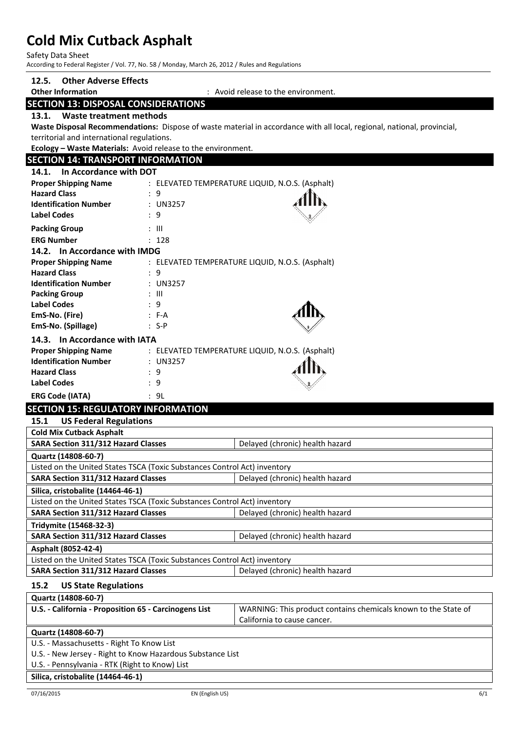Safety Data Sheet

According to Federal Register / Vol. 77, No. 58 / Monday, March 26, 2012 / Rules and Regulations

## **12.5. Other Adverse Effects Other Information** : Avoid release to the environment. **SECTION 13: DISPOSAL CONSIDERATIONS 13.1. Waste treatment methods Waste Disposal Recommendations:** Dispose of waste material in accordance with all local, regional, national, provincial, territorial and international regulations. **Ecology – Waste Materials:** Avoid release to the environment. **SECTION 14: TRANSPORT INFORMATION 14.1. In Accordance with DOT Proper Shipping Name** : ELEVATED TEMPERATURE LIQUID, N.O.S. (Asphalt) **Hazard Class** : 9 **Identification Number** : UN3257 **Label Codes** : 9 **Packing Group**   $\qquad$  : III **ERG Number** : 128 **14.2. In Accordance with IMDG Proper Shipping Name** : ELEVATED TEMPERATURE LIQUID, N.O.S. (Asphalt) **Hazard Class** : 9<br> **Identification Number** : UN3257 **Identification Number Packing Group** : III **Label Codes** : 9 **EmS-No. (Fire)** : F-A **EmS-No. (Spillage)** : S-P **14.3. In Accordance with IATA Proper Shipping Name** : ELEVATED TEMPERATURE LIQUID, N.O.S. (Asphalt) **Identification Number** : UN3257 **Hazard Class** : 9 **Label Codes** : 9 **ERG Code (IATA)** : 9L **SECTION 15: REGULATORY INFORMATION 15.1 US Federal Regulations Cold Mix Cutback Asphalt SARA Section 311/312 Hazard Classes** Delayed (chronic) health hazard **Quartz (14808-60-7)** Listed on the United States TSCA (Toxic Substances Control Act) inventory **SARA Section 311/312 Hazard Classes** Delayed (chronic) health hazard **Silica, cristobalite (14464-46-1)** Listed on the United States TSCA (Toxic Substances Control Act) inventory **SARA Section 311/312 Hazard Classes** | Delayed (chronic) health hazard **Tridymite (15468-32-3) SARA Section 311/312 Hazard Classes** Delayed (chronic) health hazard **Asphalt (8052-42-4)** Listed on the United States TSCA (Toxic Substances Control Act) inventory **SARA Section 311/312 Hazard Classes Delayed (chronic) health hazard 15.2 US State Regulations Quartz (14808-60-7) U.S. - California - Proposition 65 - Carcinogens List** WARNING: This product contains chemicals known to the State of California to cause cancer. **Quartz (14808-60-7)** U.S. - Massachusetts - Right To Know List

U.S. - New Jersey - Right to Know Hazardous Substance List

U.S. - Pennsylvania - RTK (Right to Know) List

#### **Silica, cristobalite (14464-46-1)**